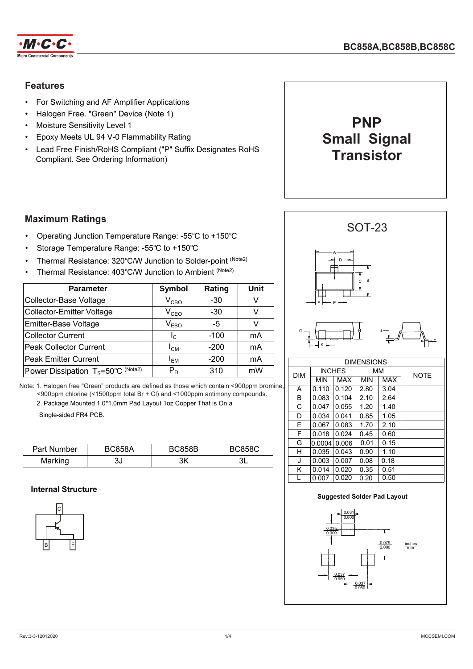

# **Features**

- For Switching and AF Amplifier Applications
- Halogen Free. "Green" Device (Note 1)
- Moisture Sensitivity Level 1
- Epoxy Meets UL 94 V-0 Flammability Rating
- Lead Free Finish/RoHS Compliant ("P" Suffix Designates RoHS Compliant. See Ordering Information)



# **Maximum Ratings**

- Operating Junction Temperature Range: -55℃ to +150℃
- Storage Temperature Range: -55℃ to +150℃
- Thermal Resistance: 320℃/W Junction to Solder-point (Note2)
- Thermal Resistance: 403℃/W Junction to Ambient (Note2)

| <b>Parameter</b>                              | <b>Symbol</b> | Rating | Unit |
|-----------------------------------------------|---------------|--------|------|
| Collector-Base Voltage                        | $\rm V_{CBO}$ | $-30$  |      |
| <b>Collector-Emitter Voltage</b>              | $\rm V_{ceO}$ | $-30$  |      |
| Emitter-Base Voltage                          | $V_{EBO}$     | -5     |      |
| <b>Collector Current</b>                      | $I_{\rm C}$   | $-100$ | mA   |
| <b>Peak Collector Current</b>                 | $I_{CM}$      | $-200$ | mA   |
| <b>Peak Emitter Current</b>                   | $I_{EM}$      | $-200$ | mA   |
| Power Dissipation $T_s = 50^{\circ}C$ (Note2) | $P_D$         | 310    | mW   |

Note: 1. Halogen free "Green" products are defined as those which contain <900ppm bromine, <900ppm chlorine (<1500ppm total Br + Cl) and <1000ppm antimony compounds.

2. Package Mounted 1.0\*1.0mm Pad Layout 1oz Copper That is On a

Single-sided FR4 PCB.

| Part Number | <b>BC858A</b> | <b>BC858B</b> | <b>BC858C</b> |
|-------------|---------------|---------------|---------------|
| Marking     | ּפ<br>υu      | ЗK            |               |

#### **Internal Structure**





| UINLIVUUIVU |            |               |            |      |             |  |
|-------------|------------|---------------|------------|------|-------------|--|
| <b>DIM</b>  |            | <b>INCHES</b> | MМ         |      | <b>NOTE</b> |  |
|             | <b>MIN</b> | <b>MAX</b>    | <b>MIN</b> | MAX  |             |  |
| A           | 0.110      | 0.120         | 2.80       | 3.04 |             |  |
| в           | 0.083      | 0.104         | 2.10       | 2.64 |             |  |
| C           | 0.047      | 0.055         | 1.20       | 1.40 |             |  |
| D           | 0.034      | 0.041         | 0.85       | 1.05 |             |  |
| E           | 0.067      | 0.083         | 1.70       | 2.10 |             |  |
| F           | 0.018      | 0.024         | 0.45       | 0.60 |             |  |
| G           | 0.0004     | 0.006         | 0.01       | 0.15 |             |  |
| н           | 0.035      | 0.043         | 0.90       | 1.10 |             |  |
| J           | 0.003      | 0.007         | 0.08       | 0.18 |             |  |
| Κ           | 0.014      | 0.020         | 0.35       | 0.51 |             |  |
| L           | 0.007      | 0.020         | 0.20       | 0.50 |             |  |

#### **Suggested Solder Pad Layout**

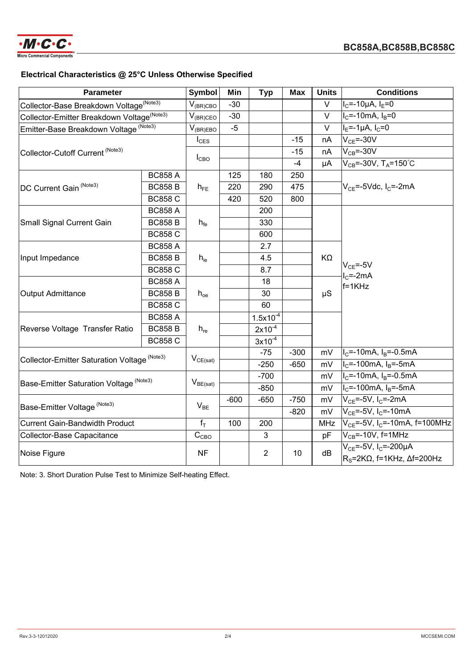

# **Electrical Characteristics @ 25°C Unless Otherwise Specified**

| <b>Parameter</b>                                       |                | <b>Symbol</b>           | Min    | <b>Typ</b>     | <b>Max</b> | <b>Units</b> | <b>Conditions</b>                              |
|--------------------------------------------------------|----------------|-------------------------|--------|----------------|------------|--------------|------------------------------------------------|
| Collector-Base Breakdown Voltage <sup>(Note3)</sup>    |                | $V_{\rm (BR) CBO}$      | $-30$  |                |            | $\vee$       | $I_C = -10\mu A$ , $I_E = 0$                   |
| Collector-Emitter Breakdown Voltage <sup>(Note3)</sup> |                | $V_{(BR)CEO}$           | $-30$  |                |            | $\vee$       | $IC=-10mA, IB=0$                               |
| Emitter-Base Breakdown Voltage (Note3)                 |                | $V_{(BR)EBO}$           | $-5$   |                |            | $\vee$       | $I_E = -1 \mu A$ , $I_C = 0$                   |
|                                                        |                | $I_{\text{CES}}$        |        |                | $-15$      | nA           | $V_{CE} = -30V$                                |
| Collector-Cutoff Current (Note3)                       |                |                         |        |                | $-15$      | nA           | $V_{CB} = -30V$                                |
|                                                        |                | $I_{CBO}$               |        |                | $-4$       | μA           | $V_{CB} = -30V$ , T <sub>A</sub> =150°C        |
|                                                        | <b>BC858 A</b> | $h_{FE}$                | 125    | 180            | 250        |              | $V_{CF}$ =-5Vdc, I <sub>C</sub> =-2mA          |
| DC Current Gain (Note3)                                | <b>BC858 B</b> |                         | 220    | 290            | 475        |              |                                                |
|                                                        | <b>BC858 C</b> |                         | 420    | 520            | 800        |              |                                                |
|                                                        | <b>BC858 A</b> |                         |        | 200            |            |              |                                                |
| <b>Small Signal Current Gain</b>                       | <b>BC858 B</b> | $h_{\text{fe}}$         |        | 330            |            |              |                                                |
|                                                        | <b>BC858 C</b> |                         |        | 600            |            |              |                                                |
| Input Impedance                                        | <b>BC858 A</b> | $h_{ie}$                |        | 2.7            |            | KΩ           |                                                |
|                                                        | <b>BC858 B</b> |                         |        | 4.5            |            |              | $V_{CE} = -5V$<br>$IC=-2mA$<br>$f = 1KHz$      |
|                                                        | <b>BC858 C</b> |                         |        | 8.7            |            |              |                                                |
| <b>Output Admittance</b>                               | <b>BC858 A</b> | $h_{oe}$                |        | 18             |            | $\mu$ S      |                                                |
|                                                        | <b>BC858 B</b> |                         |        | 30             |            |              |                                                |
|                                                        | <b>BC858 C</b> |                         |        | 60             |            |              |                                                |
|                                                        | <b>BC858 A</b> | $h_{re}$                |        | $1.5x10^{-4}$  |            |              |                                                |
| Reverse Voltage Transfer Ratio                         | <b>BC858 B</b> |                         |        | $2x10^{-4}$    |            |              |                                                |
|                                                        | <b>BC858 C</b> |                         |        | $3x10^{-4}$    |            |              |                                                |
|                                                        |                | $V_{CE(sat)}$           |        | $-75$          | $-300$     | mV           | $I_C$ =-10mA, $I_B$ =-0.5mA                    |
| Collector-Emitter Saturation Voltage (Note3)           |                |                         |        | $-250$         | $-650$     | mV           | $I_c$ =-100mA, $I_B$ =-5mA                     |
|                                                        |                |                         |        | $-700$         |            | mV           | $I_C$ =-10mA, $I_B$ =-0.5mA                    |
| Base-Emitter Saturation Voltage (Note3)                |                | $V_{BE(sat)}$           |        | $-850$         |            | mV           | $IC=-100mA, IB=-5mA$                           |
| Base-Emitter Voltage (Note3)                           |                |                         | $-600$ | $-650$         | $-750$     | mV           | $V_{CE}$ =-5V, I <sub>C</sub> =-2mA            |
|                                                        |                | $V_{BE}$                |        |                | $-820$     | mV           | $V_{CF} = -5V$ , I <sub>C</sub> = -10mA        |
| <b>Current Gain-Bandwidth Product</b>                  |                | $f_T$                   | 100    | 200            |            | <b>MHz</b>   | $V_{CE}$ =-5V, I <sub>C</sub> =-10mA, f=100MHz |
| Collector-Base Capacitance                             |                | $\mathbf{C}_\text{CBO}$ |        | 3              |            | pF           | $V_{CB}$ =-10V, f=1MHz                         |
| Noise Figure                                           |                |                         |        |                | 10         | dB           | $V_{CE} = -5V$ , I <sub>C</sub> = - 200µA      |
|                                                        |                | <b>NF</b>               |        | $\overline{2}$ |            |              | $R_s = 2K\Omega$ , f=1KHz, $\Delta f = 200$ Hz |

Note: 3. Short Duration Pulse Test to Minimize Self-heating Effect.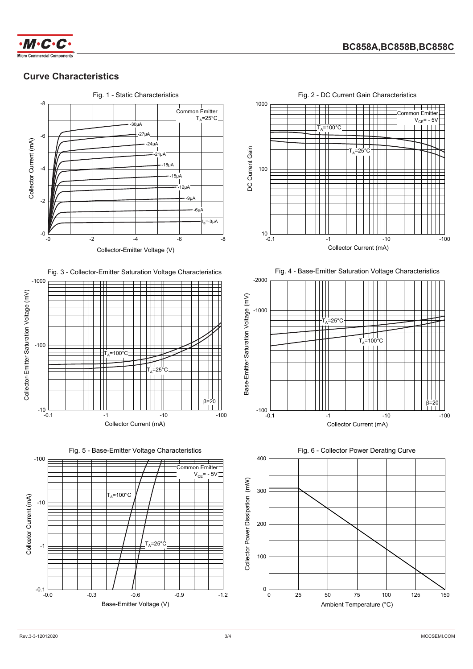

### **Curve Characteristics**